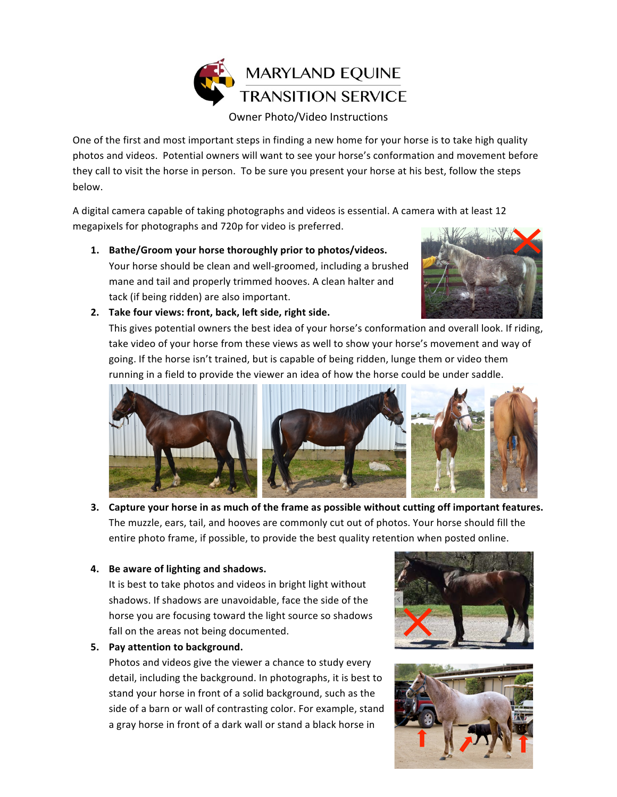

One of the first and most important steps in finding a new home for your horse is to take high quality photos and videos. Potential owners will want to see your horse's conformation and movement before they call to visit the horse in person. To be sure you present your horse at his best, follow the steps below. 

A digital camera capable of taking photographs and videos is essential. A camera with at least 12 megapixels for photographs and 720p for video is preferred.

1. Bathe/Groom your horse thoroughly prior to photos/videos. Your horse should be clean and well-groomed, including a brushed mane and tail and properly trimmed hooves. A clean halter and tack (if being ridden) are also important.



2. Take four views: front, back, left side, right side.

This gives potential owners the best idea of your horse's conformation and overall look. If riding, take video of your horse from these views as well to show your horse's movement and way of going. If the horse isn't trained, but is capable of being ridden, lunge them or video them running in a field to provide the viewer an idea of how the horse could be under saddle.



**3.** Capture your horse in as much of the frame as possible without cutting off important features. The muzzle, ears, tail, and hooves are commonly cut out of photos. Your horse should fill the entire photo frame, if possible, to provide the best quality retention when posted online.

## **4.** Be aware of lighting and shadows.

It is best to take photos and videos in bright light without shadows. If shadows are unavoidable, face the side of the horse you are focusing toward the light source so shadows fall on the areas not being documented.

**5.** Pay attention to background.

Photos and videos give the viewer a chance to study every detail, including the background. In photographs, it is best to stand your horse in front of a solid background, such as the side of a barn or wall of contrasting color. For example, stand a gray horse in front of a dark wall or stand a black horse in